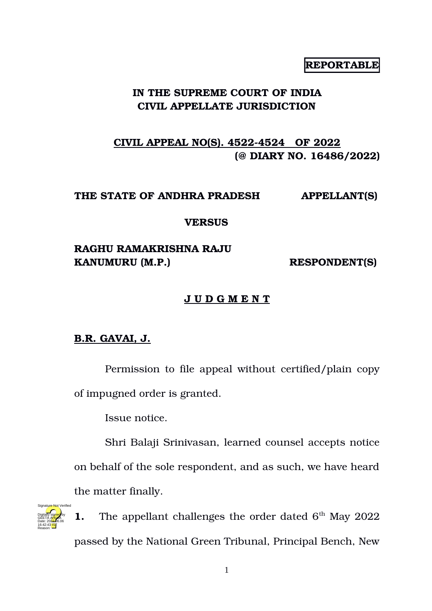## **REPORTABLE**

## **IN THE SUPREME COURT OF INDIA CIVIL APPELLATE JURISDICTION**

# **CIVIL APPEAL NO(S). 4522-4524 OF 2022 (@ DIARY NO. 16486/2022)**

### **THE STATE OF ANDHRA PRADESH APPELLANT(S)**

### **VERSUS**

## **RAGHU RAMAKRISHNA RAJU**  KANUMURU (M.P.) **RESPONDENT(S)**

### **J U D G M E N T**

## **B.R. GAVAI, J.**

Permission to file appeal without certified/plain copy of impugned order is granted.

Issue notice.

Shri Balaji Srinivasan, learned counsel accepts notice on behalf of the sole respondent, and as such, we have heard the matter finally.



**1.** The appellant challenges the order dated  $6<sup>th</sup>$  May 2022 passed by the National Green Tribunal, Principal Bench, New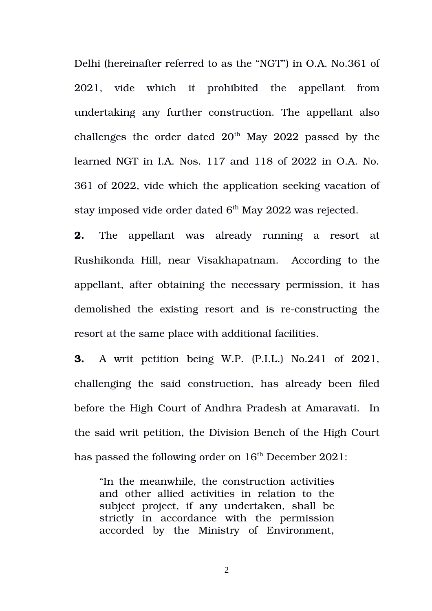Delhi (hereinafter referred to as the "NGT") in O.A. No.361 of 2021, vide which it prohibited the appellant from undertaking any further construction. The appellant also challenges the order dated  $20<sup>th</sup>$  May 2022 passed by the learned NGT in I.A. Nos. 117 and 118 of 2022 in O.A. No. 361 of 2022, vide which the application seeking vacation of stay imposed vide order dated  $6<sup>th</sup>$  May 2022 was rejected.

**2.** The appellant was already running a resort at Rushikonda Hill, near Visakhapatnam. According to the appellant, after obtaining the necessary permission, it has demolished the existing resort and is re-constructing the resort at the same place with additional facilities.

**3.** A writ petition being W.P. (P.I.L.) No.241 of 2021, challenging the said construction, has already been filed before the High Court of Andhra Pradesh at Amaravati. In the said writ petition, the Division Bench of the High Court has passed the following order on  $16<sup>th</sup>$  December 2021:

"In the meanwhile, the construction activities and other allied activities in relation to the subject project, if any undertaken, shall be strictly in accordance with the permission accorded by the Ministry of Environment,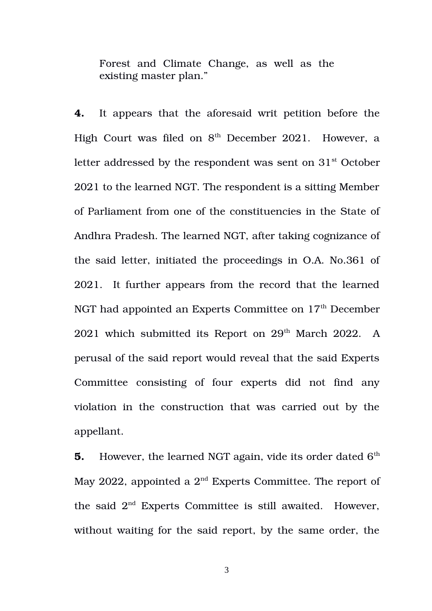Forest and Climate Change, as well as the existing master plan."

**4.** It appears that the aforesaid writ petition before the High Court was filed on  $8<sup>th</sup>$  December 2021. However, a letter addressed by the respondent was sent on  $31<sup>st</sup>$  October 2021 to the learned NGT. The respondent is a sitting Member of Parliament from one of the constituencies in the State of Andhra Pradesh. The learned NGT, after taking cognizance of the said letter, initiated the proceedings in O.A. No.361 of 2021. It further appears from the record that the learned NGT had appointed an Experts Committee on 17<sup>th</sup> December 2021 which submitted its Report on  $29<sup>th</sup>$  March 2022. A perusal of the said report would reveal that the said Experts Committee consisting of four experts did not find any violation in the construction that was carried out by the appellant.

**5.** However, the learned NGT again, vide its order dated 6<sup>th</sup> May 2022, appointed a  $2<sup>nd</sup>$  Experts Committee. The report of the said  $2<sup>nd</sup>$  Experts Committee is still awaited. However, without waiting for the said report, by the same order, the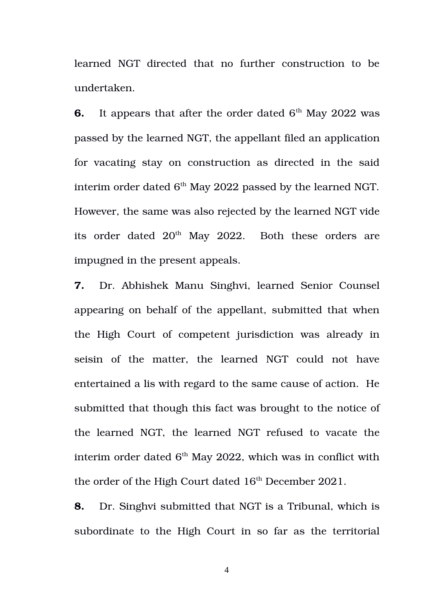learned NGT directed that no further construction to be undertaken.

**6.** It appears that after the order dated  $6<sup>th</sup>$  May 2022 was passed by the learned NGT, the appellant filed an application for vacating stay on construction as directed in the said interim order dated  $6<sup>th</sup>$  May 2022 passed by the learned NGT. However, the same was also rejected by the learned NGT vide its order dated 20<sup>th</sup> May 2022. Both these orders are impugned in the present appeals.

**7.** Dr. Abhishek Manu Singhvi, learned Senior Counsel appearing on behalf of the appellant, submitted that when the High Court of competent jurisdiction was already in seisin of the matter, the learned NGT could not have entertained a lis with regard to the same cause of action. He submitted that though this fact was brought to the notice of the learned NGT, the learned NGT refused to vacate the interim order dated  $6<sup>th</sup>$  May 2022, which was in conflict with the order of the High Court dated  $16<sup>th</sup>$  December 2021.

**8.** Dr. Singhvi submitted that NGT is a Tribunal, which is subordinate to the High Court in so far as the territorial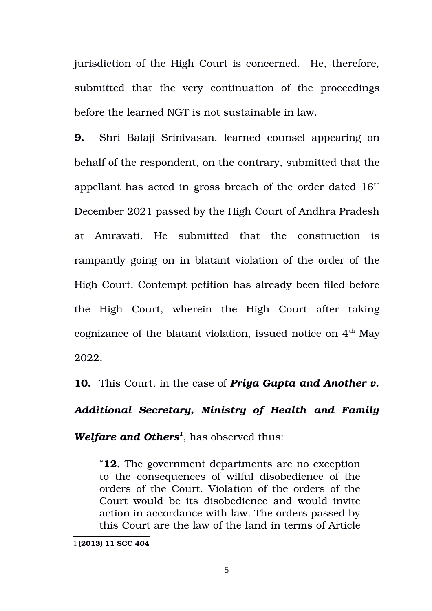jurisdiction of the High Court is concerned. He, therefore, submitted that the very continuation of the proceedings before the learned NGT is not sustainable in law.

**9.** Shri Balaji Srinivasan, learned counsel appearing on behalf of the respondent, on the contrary, submitted that the appellant has acted in gross breach of the order dated  $16<sup>th</sup>$ December 2021 passed by the High Court of Andhra Pradesh at Amravati. He submitted that the construction is rampantly going on in blatant violation of the order of the High Court. Contempt petition has already been filed before the High Court, wherein the High Court after taking cognizance of the blatant violation, issued notice on  $4^{\text{th}}$  May 2022.

**10.** This Court, in the case of *Priya Gupta and Another v.*

*Additional Secretary, Ministry of Health and Family*

*Welfare and Others[1](#page-4-0)* , has observed thus:

"**12.** The government departments are no exception to the consequences of wilful disobedience of the orders of the Court. Violation of the orders of the Court would be its disobedience and would invite action in accordance with law. The orders passed by this Court are the law of the land in terms of Article

<span id="page-4-0"></span><sup>1</sup> **(2013) 11 SCC 404**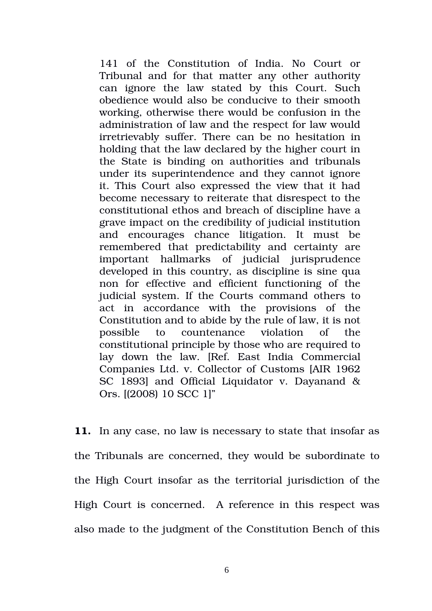141 of the Constitution of India. No Court or Tribunal and for that matter any other authority can ignore the law stated by this Court. Such obedience would also be conducive to their smooth working, otherwise there would be confusion in the administration of law and the respect for law would irretrievably suffer. There can be no hesitation in holding that the law declared by the higher court in the State is binding on authorities and tribunals under its superintendence and they cannot ignore it. This Court also expressed the view that it had become necessary to reiterate that disrespect to the constitutional ethos and breach of discipline have a grave impact on the credibility of judicial institution and encourages chance litigation. It must be remembered that predictability and certainty are important hallmarks of judicial jurisprudence developed in this country, as discipline is sine qua non for effective and efficient functioning of the judicial system. If the Courts command others to act in accordance with the provisions of the Constitution and to abide by the rule of law, it is not possible to countenance violation of the constitutional principle by those who are required to lay down the law. [Ref. East India Commercial Companies Ltd. v. Collector of Customs [AIR 1962 SC 1893] and Official Liquidator v. Dayanand & Ors. [(2008) 10 SCC 1]"

**11.** In any case, no law is necessary to state that insofar as the Tribunals are concerned, they would be subordinate to the High Court insofar as the territorial jurisdiction of the High Court is concerned. A reference in this respect was also made to the judgment of the Constitution Bench of this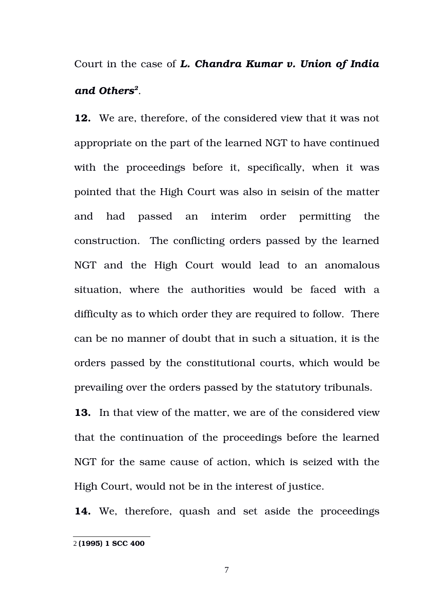Court in the case of *L. Chandra Kumar v. Union of India and Others[2](#page-6-0)* .

**12.** We are, therefore, of the considered view that it was not appropriate on the part of the learned NGT to have continued with the proceedings before it, specifically, when it was pointed that the High Court was also in seisin of the matter and had passed an interim order permitting the construction. The conflicting orders passed by the learned NGT and the High Court would lead to an anomalous situation, where the authorities would be faced with a difficulty as to which order they are required to follow. There can be no manner of doubt that in such a situation, it is the orders passed by the constitutional courts, which would be prevailing over the orders passed by the statutory tribunals.

**13.** In that view of the matter, we are of the considered view that the continuation of the proceedings before the learned NGT for the same cause of action, which is seized with the High Court, would not be in the interest of justice.

14. We, therefore, quash and set aside the proceedings

<span id="page-6-0"></span><sup>2</sup> **(1995) 1 SCC 400**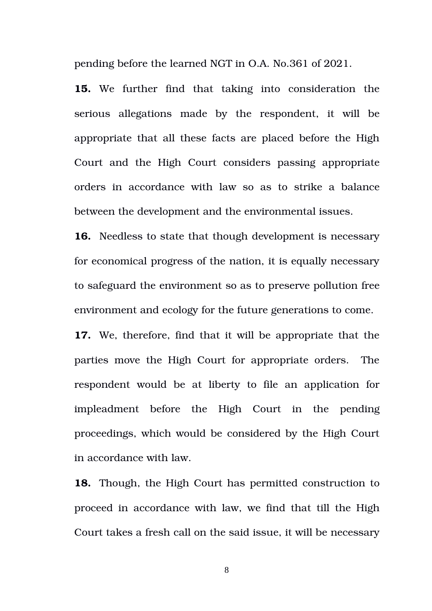pending before the learned NGT in O.A. No.361 of 2021.

15. We further find that taking into consideration the serious allegations made by the respondent, it will be appropriate that all these facts are placed before the High Court and the High Court considers passing appropriate orders in accordance with law so as to strike a balance between the development and the environmental issues.

**16.** Needless to state that though development is necessary for economical progress of the nation, it is equally necessary to safeguard the environment so as to preserve pollution free environment and ecology for the future generations to come.

**17.** We, therefore, find that it will be appropriate that the parties move the High Court for appropriate orders. The respondent would be at liberty to file an application for impleadment before the High Court in the pending proceedings, which would be considered by the High Court in accordance with law.

**18.** Though, the High Court has permitted construction to proceed in accordance with law, we find that till the High Court takes a fresh call on the said issue, it will be necessary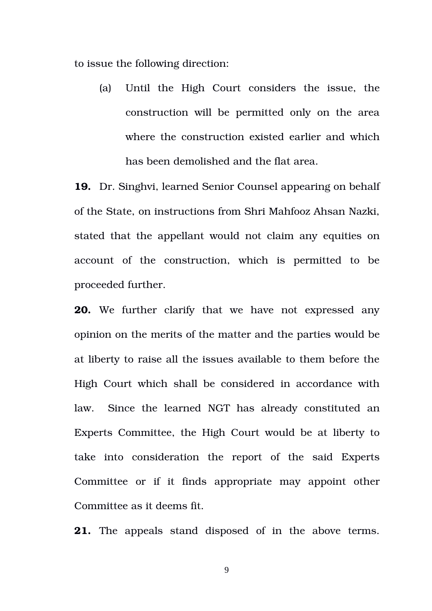to issue the following direction:

(a) Until the High Court considers the issue, the construction will be permitted only on the area where the construction existed earlier and which has been demolished and the flat area.

**19.** Dr. Singhvi, learned Senior Counsel appearing on behalf of the State, on instructions from Shri Mahfooz Ahsan Nazki, stated that the appellant would not claim any equities on account of the construction, which is permitted to be proceeded further.

**20.** We further clarify that we have not expressed any opinion on the merits of the matter and the parties would be at liberty to raise all the issues available to them before the High Court which shall be considered in accordance with law. Since the learned NGT has already constituted an Experts Committee, the High Court would be at liberty to take into consideration the report of the said Experts Committee or if it finds appropriate may appoint other Committee as it deems fit.

**21.** The appeals stand disposed of in the above terms.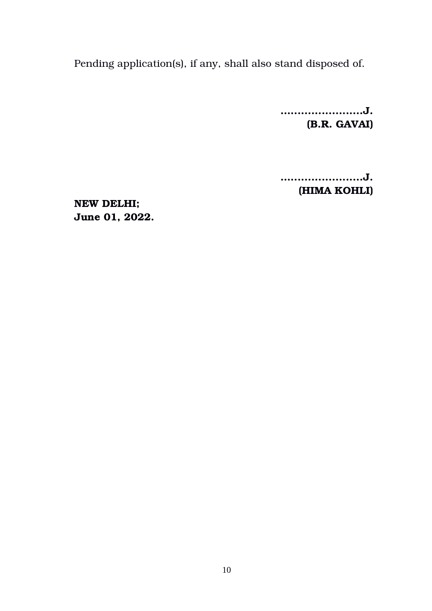Pending application(s), if any, shall also stand disposed of.

**….....................J. (B.R. GAVAI)** 

**….....................J. (HIMA KOHLI)** 

**NEW DELHI; June 01, 2022.**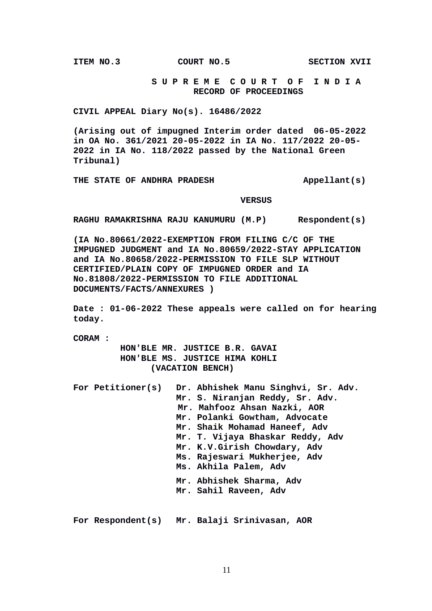**ITEM NO.3 COURT NO.5 SECTION XVII** 

 **S U P R E M E C O U R T O F I N D I A RECORD OF PROCEEDINGS**

**CIVIL APPEAL Diary No(s). 16486/2022**

**(Arising out of impugned Interim order dated 06-05-2022 in OA No. 361/2021 20-05-2022 in IA No. 117/2022 20-05- 2022 in IA No. 118/2022 passed by the National Green Tribunal)**

THE STATE OF ANDHRA PRADESH **Appellant(s)** 

#### **VERSUS**

**RAGHU RAMAKRISHNA RAJU KANUMURU (M.P) Respondent(s)**

**(IA No.80661/2022-EXEMPTION FROM FILING C/C OF THE IMPUGNED JUDGMENT and IA No.80659/2022-STAY APPLICATION and IA No.80658/2022-PERMISSION TO FILE SLP WITHOUT CERTIFIED/PLAIN COPY OF IMPUGNED ORDER and IA No.81808/2022-PERMISSION TO FILE ADDITIONAL DOCUMENTS/FACTS/ANNEXURES )**

**Date : 01-06-2022 These appeals were called on for hearing today.**

**CORAM :** 

 **HON'BLE MR. JUSTICE B.R. GAVAI HON'BLE MS. JUSTICE HIMA KOHLI (VACATION BENCH)**

| For Petitioner(s) | Dr. Abhishek Manu Singhvi, Sr. Adv. |
|-------------------|-------------------------------------|
|                   | Mr. S. Niranjan Reddy, Sr. Adv.     |
|                   | Mr. Mahfooz Ahsan Nazki, AOR        |
|                   | Mr. Polanki Gowtham, Advocate       |
|                   | Mr. Shaik Mohamad Haneef, Adv       |
|                   | Mr. T. Vijaya Bhaskar Reddy, Adv    |
|                   | Mr. K.V.Girish Chowdary, Adv        |
|                   | Ms. Rajeswari Mukherjee, Adv        |
|                   | Ms. Akhila Palem, Adv               |
|                   | Mr. Abhishek Sharma, Adv            |
|                   | Mr. Sahil Raveen, Adv               |
|                   |                                     |
|                   |                                     |
|                   |                                     |

**For Respondent(s) Mr. Balaji Srinivasan, AOR**